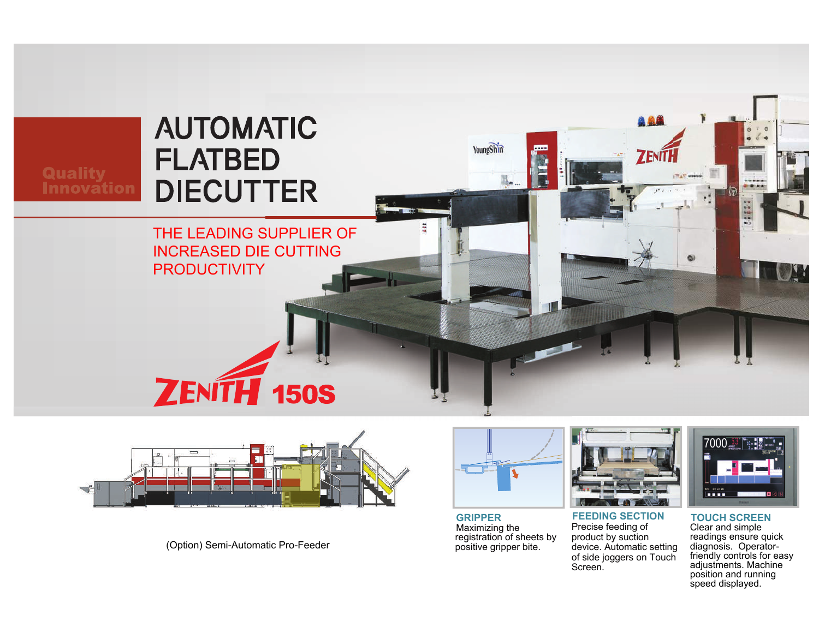



(Option) Semi-Automatic Pro-Feeder



**GRIPPER** Maximizing the registration of sheets by positive gripper bite.



**FEEDING SECTION**Precise feeding of product by suction device. Automatic setting of side joggers on Touch Screen.



**TOUCH SCREEN** readings ensure quick diagnosis. Operator-Clear and simple friendly controls for easy adjustments. Machine position and running speed displayed.